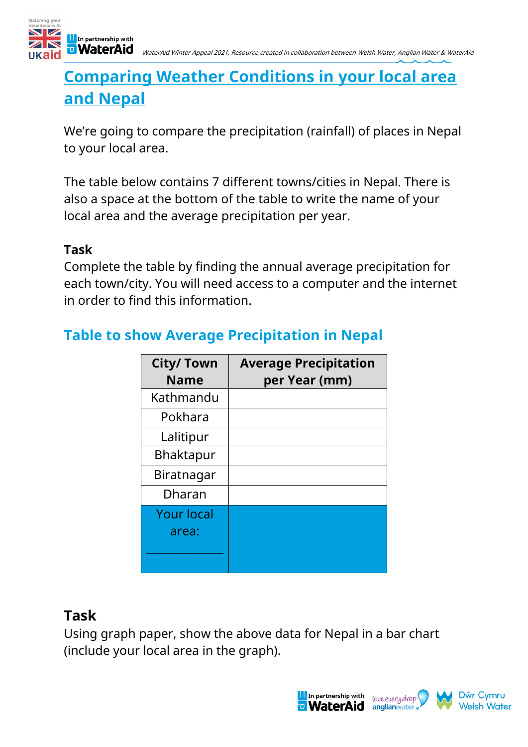

## **Comparing Weather Conditions in your local area and Nepal**

We're going to compare the precipitation (rainfall) of places in Nepal to your local area.

The table below contains 7 different towns/cities in Nepal. There is also a space at the bottom of the table to write the name of your local area and the average precipitation per year.

#### **Task**

Complete the table by finding the annual average precipitation for each town/city. You will need access to a computer and the internet in order to find this information.

# **Table to show Average Precipitation in Nepal**

| <b>City/Town</b><br><b>Name</b> | <b>Average Precipitation</b><br>per Year (mm) |
|---------------------------------|-----------------------------------------------|
| Kathmandu                       |                                               |
| Pokhara                         |                                               |
| Lalitipur                       |                                               |
| <b>Bhaktapur</b>                |                                               |
| Biratnagar                      |                                               |
| Dharan                          |                                               |
| <b>Your local</b>               |                                               |
| area:                           |                                               |
|                                 |                                               |
|                                 |                                               |

#### **Task**

Using graph paper, show the above data for Nepal in a bar chart (include your local area in the graph).

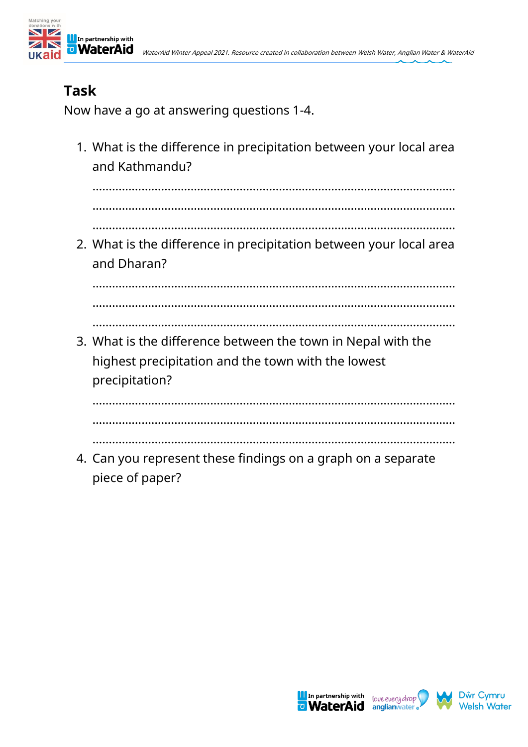

### **Task**

Now have a go at answering questions 1-4.

1. What is the difference in precipitation between your local area and Kathmandu?

…………………………………………………………………………………………………

…………………………………………………………………………………………………

…………………………………………………………………………………………………

2. What is the difference in precipitation between your local area and Dharan?

………………………………………………………………………………………………… …………………………………………………………………………………………………

…………………………………………………………………………………………………

3. What is the difference between the town in Nepal with the highest precipitation and the town with the lowest precipitation?

…………………………………………………………………………………………………

…………………………………………………………………………………………………

…………………………………………………………………………………………………

4. Can you represent these findings on a graph on a separate piece of paper?





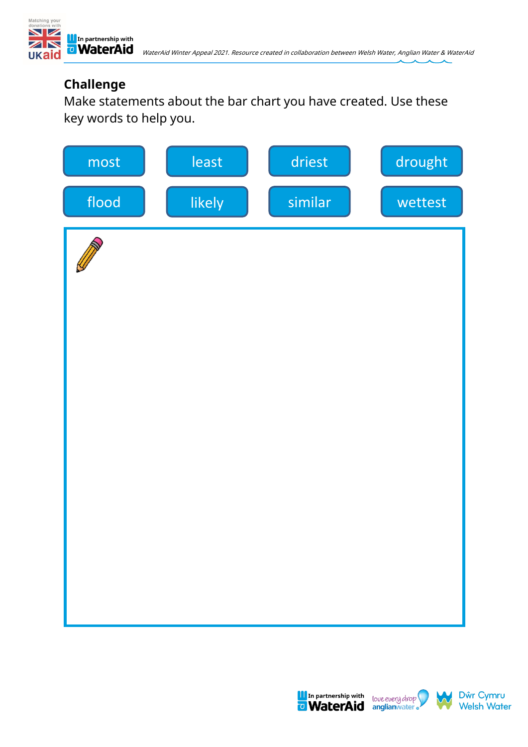

#### **Challenge**

Make statements about the bar chart you have created. Use these key words to help you.